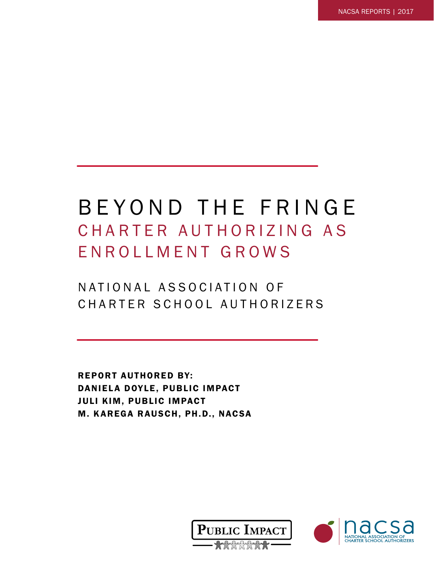# BEYOND THE FRINGE CHARTER AUTHORIZING AS ENROLLMENT GROWS

# N A T I O N A L A S S O C I A T I O N O F CHARTER SCHOOL AUTHORIZERS

REPORT AUTHORED BY: DANIELA DOYLE, PUBLIC IMPACT JULI KIM, PUBLIC IMPACT M. KAREGA RAUSCH, PH.D., NACSA



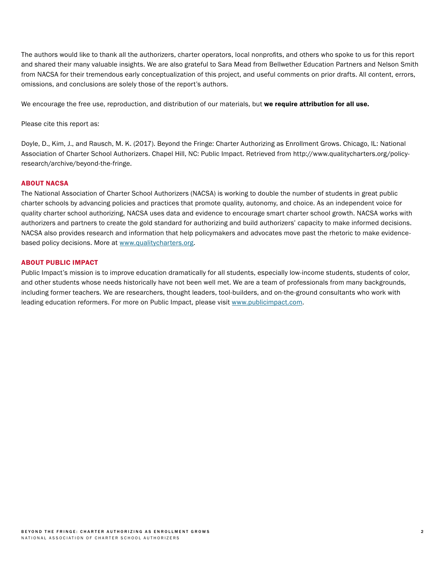The authors would like to thank all the authorizers, charter operators, local nonprofits, and others who spoke to us for this report and shared their many valuable insights. We are also grateful to Sara Mead from Bellwether Education Partners and Nelson Smith from NACSA for their tremendous early conceptualization of this project, and useful comments on prior drafts. All content, errors, omissions, and conclusions are solely those of the report's authors.

We encourage the free use, reproduction, and distribution of our materials, but we require attribution for all use.

Please cite this report as:

Doyle, D., Kim, J., and Rausch, M. K. (2017). Beyond the Fringe: Charter Authorizing as Enrollment Grows. Chicago, IL: National Association of Charter School Authorizers. Chapel Hill, NC: Public Impact. Retrieved from http://www.qualitycharters.org/policyresearch/archive/beyond-the-fringe.

#### ABOUT NACSA

The National Association of Charter School Authorizers (NACSA) is working to double the number of students in great public charter schools by advancing policies and practices that promote quality, autonomy, and choice. As an independent voice for quality charter school authorizing, NACSA uses data and evidence to encourage smart charter school growth. NACSA works with authorizers and partners to create the gold standard for authorizing and build authorizers' capacity to make informed decisions. NACSA also provides research and information that help policymakers and advocates move past the rhetoric to make evidencebased policy decisions. More at [www.qualitycharters.org.](http://www.qualitycharters.org)

#### ABOUT PUBLIC IMPACT

Public Impact's mission is to improve education dramatically for all students, especially low-income students, students of color, and other students whose needs historically have not been well met. We are a team of professionals from many backgrounds, including former teachers. We are researchers, thought leaders, tool-builders, and on-the-ground consultants who work with leading education reformers. For more on Public Impact, please visit [www.publicimpact.com.](http://www.publicimpact.com)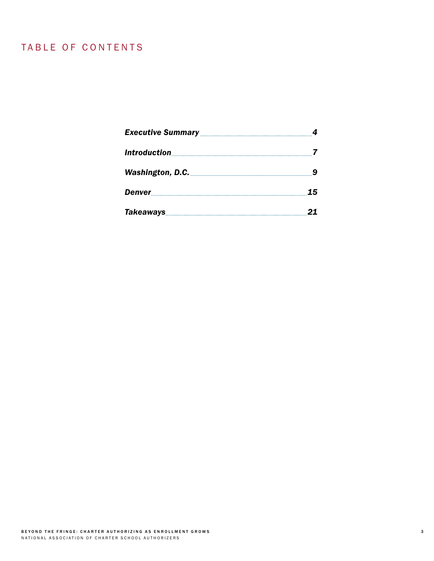# TABLE OF CONTENTS

| Denver 15    |  |
|--------------|--|
| Takeaways 21 |  |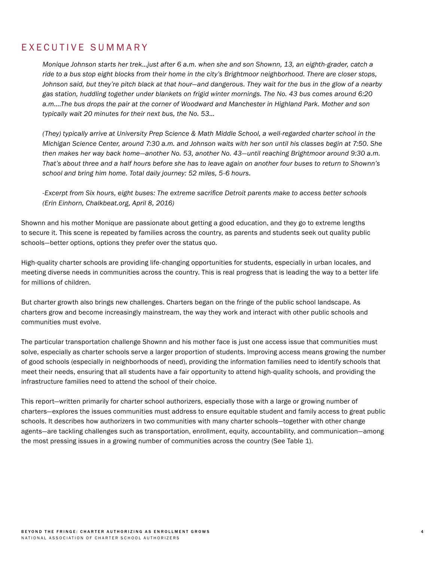# EXECUTIVE SUMMARY

*Monique Johnson starts her trek…just after 6 a.m. when she and son Shownn, 13, an eighth-grader, catch a ride to a bus stop eight blocks from their home in the city's Brightmoor neighborhood. There are closer stops, Johnson said, but they're pitch black at that hour—and dangerous. They wait for the bus in the glow of a nearby gas station, huddling together under blankets on frigid winter mornings. The No. 43 bus comes around 6:20 a.m….The bus drops the pair at the corner of Woodward and Manchester in Highland Park. Mother and son typically wait 20 minutes for their next bus, the No. 53…*

*(They) typically arrive at University Prep Science & Math Middle School, a well-regarded charter school in the Michigan Science Center, around 7:30 a.m. and Johnson waits with her son until his classes begin at 7:50. She then makes her way back home—another No. 53, another No. 43—until reaching Brightmoor around 9:30 a.m. That's about three and a half hours before she has to leave again on another four buses to return to Shownn's school and bring him home. Total daily journey: 52 miles, 5-6 hours.*

*-Excerpt from Six hours, eight buses: The extreme sacrifice Detroit parents make to access better schools (Erin Einhorn, Chalkbeat.org, April 8, 2016)*

Shownn and his mother Monique are passionate about getting a good education, and they go to extreme lengths to secure it. This scene is repeated by families across the country, as parents and students seek out quality public schools—better options, options they prefer over the status quo.

High-quality charter schools are providing life-changing opportunities for students, especially in urban locales, and meeting diverse needs in communities across the country. This is real progress that is leading the way to a better life for millions of children.

But charter growth also brings new challenges. Charters began on the fringe of the public school landscape. As charters grow and become increasingly mainstream, the way they work and interact with other public schools and communities must evolve.

The particular transportation challenge Shownn and his mother face is just one access issue that communities must solve, especially as charter schools serve a larger proportion of students. Improving access means growing the number of good schools (especially in neighborhoods of need), providing the information families need to identify schools that meet their needs, ensuring that all students have a fair opportunity to attend high-quality schools, and providing the infrastructure families need to attend the school of their choice.

This report—written primarily for charter school authorizers, especially those with a large or growing number of charters—explores the issues communities must address to ensure equitable student and family access to great public schools. It describes how authorizers in two communities with many charter schools—together with other change agents—are tackling challenges such as transportation, enrollment, equity, accountability, and communication—among the most pressing issues in a growing number of communities across the country (See Table 1).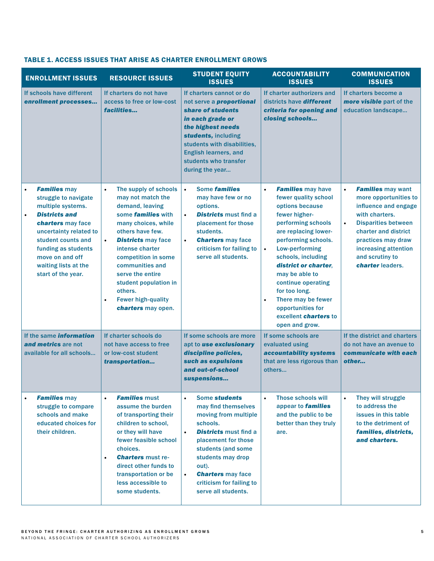| <b>ENROLLMENT ISSUES</b>                                                                                                                                                                                                                                           | <b>RESOURCE ISSUES</b>                                                                                                                                                                                                                                                                                                                                                            | <b>STUDENT EQUITY</b><br><b>ISSUES</b>                                                                                                                                                                                                                                                                    | <b>ACCOUNTABILITY</b><br><b>ISSUES</b>                                                                                                                                                                                                                                                                                                                                                                                 | <b>COMMUNICATION</b><br><b>ISSUES</b>                                                                                                                                                                                                                            |
|--------------------------------------------------------------------------------------------------------------------------------------------------------------------------------------------------------------------------------------------------------------------|-----------------------------------------------------------------------------------------------------------------------------------------------------------------------------------------------------------------------------------------------------------------------------------------------------------------------------------------------------------------------------------|-----------------------------------------------------------------------------------------------------------------------------------------------------------------------------------------------------------------------------------------------------------------------------------------------------------|------------------------------------------------------------------------------------------------------------------------------------------------------------------------------------------------------------------------------------------------------------------------------------------------------------------------------------------------------------------------------------------------------------------------|------------------------------------------------------------------------------------------------------------------------------------------------------------------------------------------------------------------------------------------------------------------|
| If schools have different<br>enrollment processes                                                                                                                                                                                                                  | If charters do not have<br>access to free or low-cost<br>facilities                                                                                                                                                                                                                                                                                                               | If charters cannot or do<br>not serve a <b>proportional</b><br>share of students<br>in each grade or<br>the highest needs<br>students, including<br>students with disabilities,<br><b>English learners, and</b><br>students who transfer<br>during the year                                               | If charter authorizers and<br>districts have <b>different</b><br>criteria for opening and<br>closing schools                                                                                                                                                                                                                                                                                                           | If charters become a<br>more visible part of the<br>education landscape                                                                                                                                                                                          |
| <b>Families may</b><br>struggle to navigate<br>multiple systems.<br><b>Districts and</b><br>$\bullet$<br>charters may face<br>uncertainty related to<br>student counts and<br>funding as students<br>move on and off<br>waiting lists at the<br>start of the year. | The supply of schools<br>$\bullet$<br>may not match the<br>demand, leaving<br>some <b>families</b> with<br>many choices, while<br>others have few.<br><b>Districts may face</b><br>$\bullet$<br>intense charter<br>competition in some<br>communities and<br>serve the entire<br>student population in<br>others.<br><b>Fewer high-quality</b><br>$\bullet$<br>charters may open. | Some <b>families</b><br>$\bullet$<br>may have few or no<br>options.<br><b>Districts must find a</b><br>$\bullet$<br>placement for those<br>students.<br><b>Charters</b> may face<br>$\bullet$<br>criticism for failing to<br>serve all students.                                                          | $\bullet$<br><b>Families</b> may have<br>fewer quality school<br>options because<br>fewer higher-<br>performing schools<br>are replacing lower-<br>performing schools.<br>Low-performing<br>$\bullet$<br>schools, including<br>district or charter.<br>may be able to<br>continue operating<br>for too long.<br>There may be fewer<br>$\bullet$<br>opportunities for<br>excellent <i>charters</i> to<br>open and grow. | <b>Families may want</b><br>$\bullet$<br>more opportunities to<br>influence and engage<br>with charters.<br><b>Disparities between</b><br>$\bullet$<br>charter and district<br>practices may draw<br>increasing attention<br>and scrutiny to<br>charter leaders. |
| If the same <i>information</i><br>and metrics are not<br>available for all schools                                                                                                                                                                                 | If charter schools do<br>not have access to free<br>or low-cost student<br>transportation                                                                                                                                                                                                                                                                                         | If some schools are more<br>apt to use exclusionary<br>discipline policies,<br>such as expulsions<br>and out-of-school<br>suspensions                                                                                                                                                                     | If some schools are<br>evaluated using<br>accountability systems<br>that are less rigorous than<br>others                                                                                                                                                                                                                                                                                                              | If the district and charters<br>do not have an avenue to<br>communicate with each<br>other                                                                                                                                                                       |
| <b>Families may</b><br>struggle to compare<br>schools and make<br>educated choices for<br>their children.                                                                                                                                                          | <b>Families must</b><br>$\bullet$<br>assume the burden<br>of transporting their<br>children to school,<br>or they will have<br>fewer feasible school<br>choices.<br><b>Charters must re-</b><br>$\bullet$<br>direct other funds to<br>transportation or be<br>less accessible to<br>some students.                                                                                | Some students<br>$\bullet$<br>may find themselves<br>moving from multiple<br>schools.<br><b>Districts must find a</b><br>$\bullet$<br>placement for those<br>students (and some<br>students may drop<br>out).<br><b>Charters may face</b><br>$\bullet$<br>criticism for failing to<br>serve all students. | <b>Those schools will</b><br>$\bullet$<br>appear to <b>families</b><br>and the public to be<br>better than they truly<br>are.                                                                                                                                                                                                                                                                                          | They will struggle<br>$\bullet$<br>to address the<br>issues in this table<br>to the detriment of<br>families, districts,<br>and charters.                                                                                                                        |

#### TABLE 1. ACCESS ISSUES THAT ARISE AS CHARTER ENROLLMENT GROWS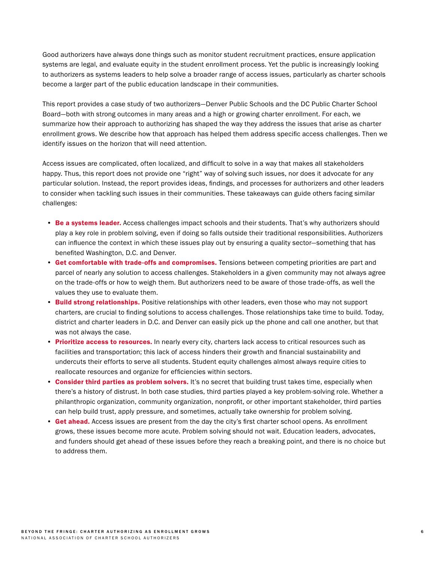Good authorizers have always done things such as monitor student recruitment practices, ensure application systems are legal, and evaluate equity in the student enrollment process. Yet the public is increasingly looking to authorizers as systems leaders to help solve a broader range of access issues, particularly as charter schools become a larger part of the public education landscape in their communities.

This report provides a case study of two authorizers—Denver Public Schools and the DC Public Charter School Board—both with strong outcomes in many areas and a high or growing charter enrollment. For each, we summarize how their approach to authorizing has shaped the way they address the issues that arise as charter enrollment grows. We describe how that approach has helped them address specific access challenges. Then we identify issues on the horizon that will need attention.

Access issues are complicated, often localized, and difficult to solve in a way that makes all stakeholders happy. Thus, this report does not provide one "right" way of solving such issues, nor does it advocate for any particular solution. Instead, the report provides ideas, findings, and processes for authorizers and other leaders to consider when tackling such issues in their communities. These takeaways can guide others facing similar challenges:

- Be a systems leader. Access challenges impact schools and their students. That's why authorizers should play a key role in problem solving, even if doing so falls outside their traditional responsibilities. Authorizers can influence the context in which these issues play out by ensuring a quality sector—something that has benefited Washington, D.C. and Denver.
- Get comfortable with trade-offs and compromises. Tensions between competing priorities are part and parcel of nearly any solution to access challenges. Stakeholders in a given community may not always agree on the trade-offs or how to weigh them. But authorizers need to be aware of those trade-offs, as well the values they use to evaluate them.
- Build strong relationships. Positive relationships with other leaders, even those who may not support charters, are crucial to finding solutions to access challenges. Those relationships take time to build. Today, district and charter leaders in D.C. and Denver can easily pick up the phone and call one another, but that was not always the case.
- Prioritize access to resources. In nearly every city, charters lack access to critical resources such as facilities and transportation; this lack of access hinders their growth and financial sustainability and undercuts their efforts to serve all students. Student equity challenges almost always require cities to reallocate resources and organize for efficiencies within sectors.
- Consider third parties as problem solvers. It's no secret that building trust takes time, especially when there's a history of distrust. In both case studies, third parties played a key problem-solving role. Whether a philanthropic organization, community organization, nonprofit, or other important stakeholder, third parties can help build trust, apply pressure, and sometimes, actually take ownership for problem solving.
- Get ahead. Access issues are present from the day the city's first charter school opens. As enrollment grows, these issues become more acute. Problem solving should not wait. Education leaders, advocates, and funders should get ahead of these issues before they reach a breaking point, and there is no choice but to address them.

6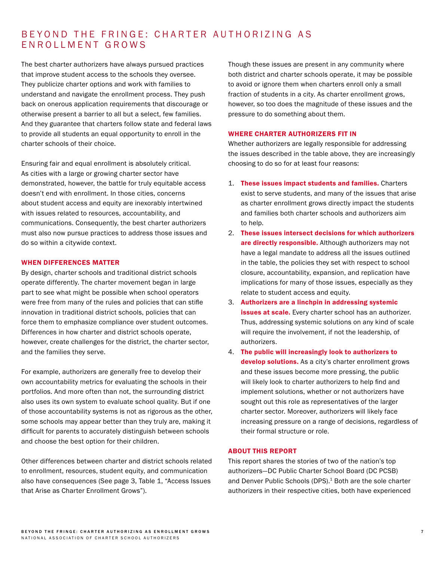# BEYOND THE FRINGE: CHARTER AUTHORIZING AS ENROLLMENT GROWS

The best charter authorizers have always pursued practices that improve student access to the schools they oversee. They publicize charter options and work with families to understand and navigate the enrollment process. They push back on onerous application requirements that discourage or otherwise present a barrier to all but a select, few families. And they guarantee that charters follow state and federal laws to provide all students an equal opportunity to enroll in the charter schools of their choice.

Ensuring fair and equal enrollment is absolutely critical. As cities with a large or growing charter sector have demonstrated, however, the battle for truly equitable access doesn't end with enrollment. In those cities, concerns about student access and equity are inexorably intertwined with issues related to resources, accountability, and communications. Consequently, the best charter authorizers must also now pursue practices to address those issues and do so within a citywide context.

#### WHEN DIFFERENCES MATTER

By design, charter schools and traditional district schools operate differently. The charter movement began in large part to see what might be possible when school operators were free from many of the rules and policies that can stifle innovation in traditional district schools, policies that can force them to emphasize compliance over student outcomes. Differences in how charter and district schools operate, however, create challenges for the district, the charter sector, and the families they serve.

For example, authorizers are generally free to develop their own accountability metrics for evaluating the schools in their portfolios. And more often than not, the surrounding district also uses its own system to evaluate school quality. But if one of those accountability systems is not as rigorous as the other, some schools may appear better than they truly are, making it difficult for parents to accurately distinguish between schools and choose the best option for their children.

Other differences between charter and district schools related to enrollment, resources, student equity, and communication also have consequences (See page 3, Table 1, "Access Issues that Arise as Charter Enrollment Grows").

Though these issues are present in any community where both district and charter schools operate, it may be possible to avoid or ignore them when charters enroll only a small fraction of students in a city. As charter enrollment grows, however, so too does the magnitude of these issues and the pressure to do something about them.

#### WHERE CHARTER AUTHORIZERS FIT IN

Whether authorizers are legally responsible for addressing the issues described in the table above, they are increasingly choosing to do so for at least four reasons:

- 1. These issues impact students and families. Charters exist to serve students, and many of the issues that arise as charter enrollment grows directly impact the students and families both charter schools and authorizers aim to help.
- 2. These issues intersect decisions for which authorizers are directly responsible. Although authorizers may not have a legal mandate to address all the issues outlined in the table, the policies they set with respect to school closure, accountability, expansion, and replication have implications for many of those issues, especially as they relate to student access and equity.
- 3. Authorizers are a linchpin in addressing systemic issues at scale. Every charter school has an authorizer. Thus, addressing systemic solutions on any kind of scale will require the involvement, if not the leadership, of authorizers.
- 4. The public will increasingly look to authorizers to develop solutions. As a city's charter enrollment grows and these issues become more pressing, the public will likely look to charter authorizers to help find and implement solutions, whether or not authorizers have sought out this role as representatives of the larger charter sector. Moreover, authorizers will likely face increasing pressure on a range of decisions, regardless of their formal structure or role.

#### ABOUT THIS REPORT

This report shares the stories of two of the nation's top authorizers—DC Public Charter School Board (DC PCSB) and Denver Public Schools (DPS).<sup>1</sup> Both are the sole charter authorizers in their respective cities, both have experienced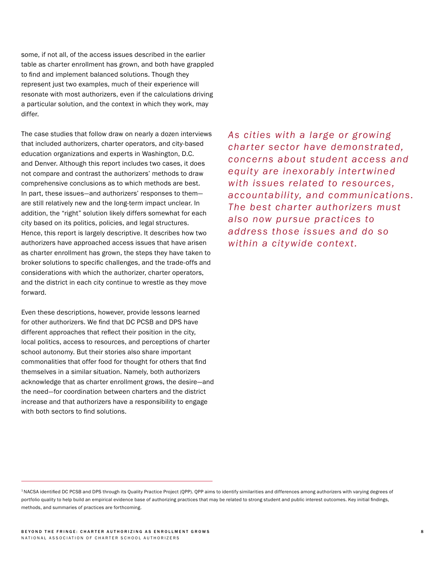some, if not all, of the access issues described in the earlier table as charter enrollment has grown, and both have grappled to find and implement balanced solutions. Though they represent just two examples, much of their experience will resonate with most authorizers, even if the calculations driving a particular solution, and the context in which they work, may differ.

The case studies that follow draw on nearly a dozen interviews that included authorizers, charter operators, and city-based education organizations and experts in Washington, D.C. and Denver. Although this report includes two cases, it does not compare and contrast the authorizers' methods to draw comprehensive conclusions as to which methods are best. In part, these issues—and authorizers' responses to them are still relatively new and the long-term impact unclear. In addition, the "right" solution likely differs somewhat for each city based on its politics, policies, and legal structures. Hence, this report is largely descriptive. It describes how two authorizers have approached access issues that have arisen as charter enrollment has grown, the steps they have taken to broker solutions to specific challenges, and the trade-offs and considerations with which the authorizer, charter operators, and the district in each city continue to wrestle as they move forward.

Even these descriptions, however, provide lessons learned for other authorizers. We find that DC PCSB and DPS have different approaches that reflect their position in the city, local politics, access to resources, and perceptions of charter school autonomy. But their stories also share important commonalities that offer food for thought for others that find themselves in a similar situation. Namely, both authorizers acknowledge that as charter enrollment grows, the desire—and the need—for coordination between charters and the district increase and that authorizers have a responsibility to engage with both sectors to find solutions.

*As cities with a large or growing char ter sector have demonstrated, concerns about student access and equity are inexorably inter twined with issues related to resources, accountability, and communications. The best char ter authorizers must also now pursue practices to address those issues and do so within a citywide context.*

<sup>1</sup> NACSA identified DC PCSB and DPS through its Quality Practice Project (QPP). QPP aims to identify similarities and differences among authorizers with varying degrees of portfolio quality to help build an empirical evidence base of authorizing practices that may be related to strong student and public interest outcomes. Key initial findings, methods, and summaries of practices are forthcoming.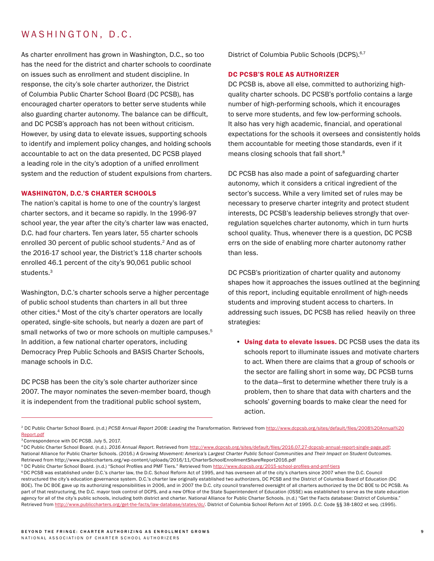# WASHINGTON, D.C.

As charter enrollment has grown in Washington, D.C., so too has the need for the district and charter schools to coordinate on issues such as enrollment and student discipline. In response, the city's sole charter authorizer, the District of Columbia Public Charter School Board (DC PCSB), has encouraged charter operators to better serve students while also guarding charter autonomy. The balance can be difficult, and DC PCSB's approach has not been without criticism. However, by using data to elevate issues, supporting schools to identify and implement policy changes, and holding schools accountable to act on the data presented, DC PCSB played a leading role in the city's adoption of a unified enrollment system and the reduction of student expulsions from charters.

#### WASHINGTON, D.C.'S CHARTER SCHOOLS

The nation's capital is home to one of the country's largest charter sectors, and it became so rapidly. In the 1996-97 school year, the year after the city's charter law was enacted, D.C. had four charters. Ten years later, 55 charter schools enrolled 30 percent of public school students.2 And as of the 2016-17 school year, the District's 118 charter schools enrolled 46.1 percent of the city's 90,061 public school students.<sup>3</sup>

Washington, D.C.'s charter schools serve a higher percentage of public school students than charters in all but three other cities.4 Most of the city's charter operators are locally operated, single-site schools, but nearly a dozen are part of small networks of two or more schools on multiple campuses.<sup>5</sup> In addition, a few national charter operators, including Democracy Prep Public Schools and BASIS Charter Schools, manage schools in D.C.

DC PCSB has been the city's sole charter authorizer since 2007. The mayor nominates the seven-member board, though it is independent from the traditional public school system,

District of Columbia Public Schools (DCPS).<sup>6,7</sup>

#### DC PCSB'S ROLE AS AUTHORIZER

DC PCSB is, above all else, committed to authorizing highquality charter schools. DC PCSB's portfolio contains a large number of high-performing schools, which it encourages to serve more students, and few low-performing schools. It also has very high academic, financial, and operational expectations for the schools it oversees and consistently holds them accountable for meeting those standards, even if it means closing schools that fall short.8

DC PCSB has also made a point of safeguarding charter autonomy, which it considers a critical ingredient of the sector's success. While a very limited set of rules may be necessary to preserve charter integrity and protect student interests, DC PCSB's leadership believes strongly that overregulation squelches charter autonomy, which in turn hurts school quality. Thus, whenever there is a question, DC PCSB errs on the side of enabling more charter autonomy rather than less.

DC PCSB's prioritization of charter quality and autonomy shapes how it approaches the issues outlined at the beginning of this report, including equitable enrollment of high-needs students and improving student access to charters. In addressing such issues, DC PCSB has relied heavily on three strategies:

• Using data to elevate issues. DC PCSB uses the data its schools report to illuminate issues and motivate charters to act. When there are claims that a group of schools or the sector are falling short in some way, DC PCSB turns to the data—first to determine whether there truly is a problem, then to share that data with charters and the schools' governing boards to make clear the need for action.

<sup>2</sup> DC Public Charter School Board. (n.d.) *PCSB Annual Report 2008: Leading the Transformation.* Retrieved from [http://www.dcpcsb.org/sites/default/files/2008%20Annual%20](http://www.dcpcsb.org/sites/default/files/2008%20Annual%20Report.pdf) [Report.pdf](http://www.dcpcsb.org/sites/default/files/2008%20Annual%20Report.pdf)

<sup>3</sup> Correspondence with DC PCSB. July 5, 2017.

<sup>4</sup> DC Public Charter School Board. (n.d.). *2016 Annual Report.* Retrieved from [http://www.dcpcsb.org/sites/default/files/2016.07.27-dcpcsb-annual-report-single-page.pdf;](http://www.dcpcsb.org/sites/default/files/2016.07.27-dcpcsb-annual-report-single-page.pdf) National Alliance for Public Charter Schools. (2016.) *A Growing Movement: America's Largest Charter Public School Communities and Their Impact on Student Outcomes.* Retrieved from http://www.publiccharters.org/wp-content/uploads/2016/11/CharterSchoolEnrollmentShareReport2016.pdf

<sup>&</sup>lt;sup>5</sup> DC Public Charter School Board. (n.d.) "School Profiles and PMF Tiers." Retrieved from <http://www.dcpcsb.org/2015-school-profiles-and-pmf-tiers>

<sup>6</sup> DC PCSB was established under D.C.'s charter law, the D.C. School Reform Act of 1995, and has overseen all of the city's charters since 2007 when the D.C. Council restructured the city's education governance system. D.C.'s charter law originally established two authorizers, DC PCSB and the District of Columbia Board of Education (DC BOE). The DC BOE gave up its authorizing responsibilities in 2006, and in 2007 the D.C. city council transferred oversight of all charters authorized by the DC BOE to DC PCSB. As part of that restructuring, the D.C. mayor took control of DCPS, and a new Office of the State Superintendent of Education (OSSE) was established to serve as the state education agency for all of the city's public schools, including both district and charter. National Alliance for Public Charter Schools. (n.d.) "Get the Facts database: District of Columbia." Retrieved from<http://www.publiccharters.org/get-the-facts/law-database/states/dc/>. District of Columbia School Reform Act of 1995. D.C. Code §§ 38-1802 et seq. (1995).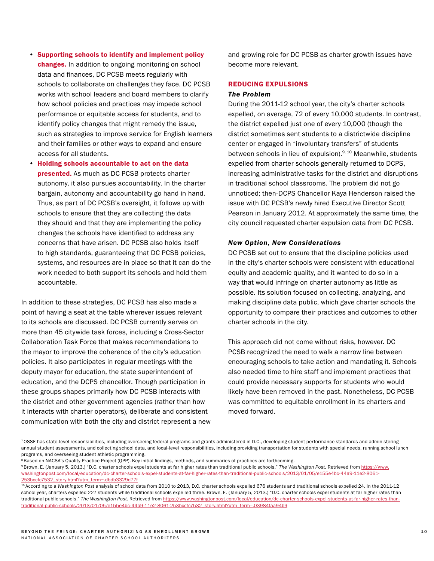- Supporting schools to identify and implement policy changes. In addition to ongoing monitoring on school data and finances, DC PCSB meets regularly with schools to collaborate on challenges they face. DC PCSB works with school leaders and board members to clarify how school policies and practices may impede school performance or equitable access for students, and to identify policy changes that might remedy the issue, such as strategies to improve service for English learners and their families or other ways to expand and ensure access for all students.
- Holding schools accountable to act on the data presented. As much as DC PCSB protects charter autonomy, it also pursues accountability. In the charter bargain, autonomy and accountability go hand in hand. Thus, as part of DC PCSB's oversight, it follows up with schools to ensure that they are collecting the data they should and that they are implementing the policy changes the schools have identified to address any concerns that have arisen. DC PCSB also holds itself to high standards, guaranteeing that DC PCSB policies, systems, and resources are in place so that it can do the work needed to both support its schools and hold them accountable.

In addition to these strategies, DC PCSB has also made a point of having a seat at the table wherever issues relevant to its schools are discussed. DC PCSB currently serves on more than 45 citywide task forces, including a Cross-Sector Collaboration Task Force that makes recommendations to the mayor to improve the coherence of the city's education policies. It also participates in regular meetings with the deputy mayor for education, the state superintendent of education, and the DCPS chancellor. Though participation in these groups shapes primarily how DC PCSB interacts with the district and other government agencies (rather than how it interacts with charter operators), deliberate and consistent communication with both the city and district represent a new and growing role for DC PCSB as charter growth issues have become more relevant.

### REDUCING EXPULSIONS

### *The Problem*

During the 2011-12 school year, the city's charter schools expelled, on average, 72 of every 10,000 students. In contrast, the district expelled just one of every 10,000 (though the district sometimes sent students to a districtwide discipline center or engaged in "involuntary transfers" of students between schools in lieu of expulsion).<sup>9, 10</sup> Meanwhile, students expelled from charter schools generally returned to DCPS, increasing administrative tasks for the district and disruptions in traditional school classrooms. The problem did not go unnoticed; then-DCPS Chancellor Kaya Henderson raised the issue with DC PCSB's newly hired Executive Director Scott Pearson in January 2012. At approximately the same time, the city council requested charter expulsion data from DC PCSB.

#### *New Option, New Considerations*

DC PCSB set out to ensure that the discipline policies used in the city's charter schools were consistent with educational equity and academic quality, and it wanted to do so in a way that would infringe on charter autonomy as little as possible. Its solution focused on collecting, analyzing, and making discipline data public, which gave charter schools the opportunity to compare their practices and outcomes to other charter schools in the city.

This approach did not come without risks, however. DC PCSB recognized the need to walk a narrow line between encouraging schools to take action and mandating it. Schools also needed time to hire staff and implement practices that could provide necessary supports for students who would likely have been removed in the past. Nonetheless, DC PCSB was committed to equitable enrollment in its charters and moved forward.

<sup>7</sup> OSSE has state-level responsibilities, including overseeing federal programs and grants administered in D.C., developing student performance standards and administering annual student assessments, and collecting school data, and local-level responsibilities, including providing transportation for students with special needs, running school lunch programs, and overseeing student athletic programming.

<sup>&</sup>lt;sup>8</sup> Based on NACSA's Quality Practice Project (QPP). Key initial findings, methods, and summaries of practices are forthcoming.

<sup>9</sup> Brown, E. (January 5, 2013.) "D.C. charter schools expel students at far higher rates than traditional public schools." *The Washington Post.* Retrieved from [https://www.](https://www.washingtonpost.com/local/education/dc-charter-schools-expel-students-at-far-higher-rates) [washingtonpost.com/local/education/dc-charter-schools-expel-students-at-far-higher-rates-than-traditional-public-schools/2013/01/05/e155e4bc-44a9-11e2-8061-](https://www.washingtonpost.com/local/education/dc-charter-schools-expel-students-at-far-higher-rates) [253bccfc7532\\_story.html?utm\\_term=.dbdb3329d77f](https://www.washingtonpost.com/local/education/dc-charter-schools-expel-students-at-far-higher-rates)

<sup>10</sup> According to a *Washington Post* analysis of school data from 2010 to 2013, D.C. charter schools expelled 676 students and traditional schools expelled 24. In the 2011-12 school year, charters expelled 227 students while traditional schools expelled three. Brown, E. (January 5, 2013.) "D.C. charter schools expel students at far higher rates than traditional public schools." *The Washington Post*. Retrieved from [https://www.washingtonpost.com/local/education/dc-charter-schools-expel-students-at-far-higher-rates-than](https://www.washingtonpost.com/local/education/dc-charter-schools-expel-students-at-far-higher-rates)[traditional-public-schools/2013/01/05/e155e4bc-44a9-11e2-8061-253bccfc7532\\_story.html?utm\\_term=.03984faa94b9](https://www.washingtonpost.com/local/education/dc-charter-schools-expel-students-at-far-higher-rates)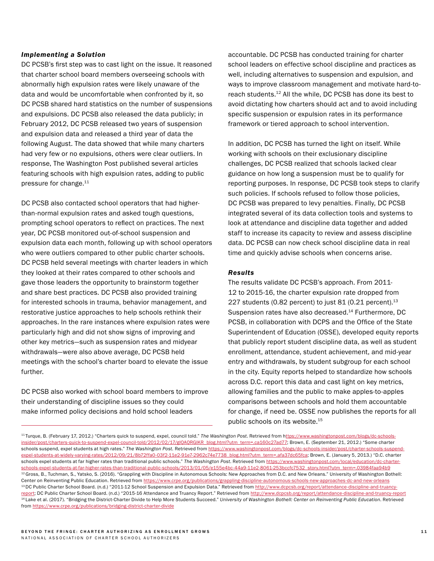#### *Implementing a Solution*

DC PCSB's first step was to cast light on the issue. It reasoned that charter school board members overseeing schools with abnormally high expulsion rates were likely unaware of the data and would be uncomfortable when confronted by it, so DC PCSB shared hard statistics on the number of suspensions and expulsions. DC PCSB also released the data publicly; in February 2012, DC PCSB released two years of suspension and expulsion data and released a third year of data the following August. The data showed that while many charters had very few or no expulsions, others were clear outliers. In response, The Washington Post published several articles featuring schools with high expulsion rates, adding to public pressure for change.<sup>11</sup>

DC PCSB also contacted school operators that had higherthan-normal expulsion rates and asked tough questions, prompting school operators to reflect on practices. The next year, DC PCSB monitored out-of-school suspension and expulsion data each month, following up with school operators who were outliers compared to other public charter schools. DC PCSB held several meetings with charter leaders in which they looked at their rates compared to other schools and gave those leaders the opportunity to brainstorm together and share best practices. DC PCSB also provided training for interested schools in trauma, behavior management, and restorative justice approaches to help schools rethink their approaches. In the rare instances where expulsion rates were particularly high and did not show signs of improving and other key metrics—such as suspension rates and midyear withdrawals—were also above average, DC PCSB held meetings with the school's charter board to elevate the issue further.

DC PCSB also worked with school board members to improve their understanding of discipline issues so they could make informed policy decisions and hold school leaders

accountable. DC PCSB has conducted training for charter school leaders on effective school discipline and practices as well, including alternatives to suspension and expulsion, and ways to improve classroom management and motivate hard-toreach students.12 All the while, DC PCSB has done its best to avoid dictating how charters should act and to avoid including specific suspension or expulsion rates in its performance framework or tiered approach to school intervention.

In addition, DC PCSB has turned the light on itself. While working with schools on their exclusionary discipline challenges, DC PCSB realized that schools lacked clear guidance on how long a suspension must be to qualify for reporting purposes. In response, DC PCSB took steps to clarify such policies. If schools refused to follow those policies, DC PCSB was prepared to levy penalties. Finally, DC PCSB integrated several of its data collection tools and systems to look at attendance and discipline data together and added staff to increase its capacity to review and assess discipline data. DC PCSB can now check school discipline data in real time and quickly advise schools when concerns arise.

#### *Results*

The results validate DC PCSB's approach. From 2011- 12 to 2015-16, the charter expulsion rate dropped from 227 students (0.82 percent) to just 81 (0.21 percent). $13$ Suspension rates have also decreased.<sup>14</sup> Furthermore, DC PCSB, in collaboration with DCPS and the Office of the State Superintendent of Education (OSSE), developed equity reports that publicly report student discipline data, as well as student enrollment, attendance, student achievement, and mid-year entry and withdrawals, by student subgroup for each school in the city. Equity reports helped to standardize how schools across D.C. report this data and cast light on key metrics, allowing families and the public to make apples-to-apples comparisons between schools and hold them accountable for change, if need be. OSSE now publishes the reports for all public schools on its website.<sup>15</sup>

<sup>11</sup> Turque, B. (February 17, 2012.) "Charters quick to suspend, expel, council told." *The Washington Post*. Retrieved from [https://www.washingtonpost.com/blogs/dc-schools](ttps://www.washingtonpost.com/blogs/dc-schools-insider/post/charters-quick-to-suspend-expel-council-)insider/post/charters-quick-to-suspend-expel-council-told/2012/02/17/gIQAQRGIKR\_blog.html?utm\_term=.ca160c27ad77; Brown, E. (September 21, 2012.) "Some charter schools suspend, expel students at high rates." *The Washington Post.* Retrieved from [https://www.washingtonpost.com/blogs/dc-schools-insider/post/charter-schools-suspend](https://www.washingtonpost.com/blogs/dc-schools-insider/post/charter-schools-suspend-expel-students-)[expel-students-at-widely-varying-rates/2012/09/21/8b72ffa0-03f2-11e2-91e7-2962c74e7738\\_blog.html?utm\\_term=.afa37dc65fca](https://www.washingtonpost.com/blogs/dc-schools-insider/post/charter-schools-suspend-expel-students-); Brown, E. (January 5, 2013.) "D.C. charter schools expel students at far higher rates than traditional public schools." *The Washington Post*. Retrieved from [https://www.washingtonpost.com/local/education/dc-charter](https://www.washingtonpost.com/local/education/dc-charter-schools-expel-students-at-far-higher-rates)[schools-expel-students-at-far-higher-rates-than-traditional-public-schools/2013/01/05/e155e4bc-44a9-11e2-8061-253bccfc7532\\_story.html?utm\\_term=.03984faa94b9](https://www.washingtonpost.com/local/education/dc-charter-schools-expel-students-at-far-higher-rates) <sup>12</sup> Gross, B., Tuchman, S., Yatsko, S. (2016). "Grappling with Discipline in Autonomous Schools: New Approaches from D.C. and New Orleans." University of Washington Bothell: Center on Reinventing Public Education. Retrieved from [https://www.crpe.org/publications/grappling-discipline-autonomous-schools-new-approaches-dc-and-new-orleans](https://www.crpe.org/publications/grappling-discipline-autonomous-schools-new-approaches-dc-and-new-) <sup>13</sup> DC Public Charter School Board. (n.d.) "2011-12 School Suspension and Expulsion Data." Retrieved from [http://www.dcpcsb.org/report/attendance-discipline-and-truancy](http://www.dcpcsb.org/report/attendance-discipline-and-truancy-report)[report;](http://www.dcpcsb.org/report/attendance-discipline-and-truancy-report) DC Public Charter School Board. (n.d.) "2015-16 Attendance and Truancy Report." Retrieved from http://www.dcpcsb.org/report/attendance-discipline-and-truancy-report 14 Lake et al. (2017). "Bridging the District-Charter Divide to Help More Students Succeed." *University of Washington Bothell: Center on Reinventing Public Education*. Retrieved from<https://www.crpe.org/publications/bridging-district-charter-divide>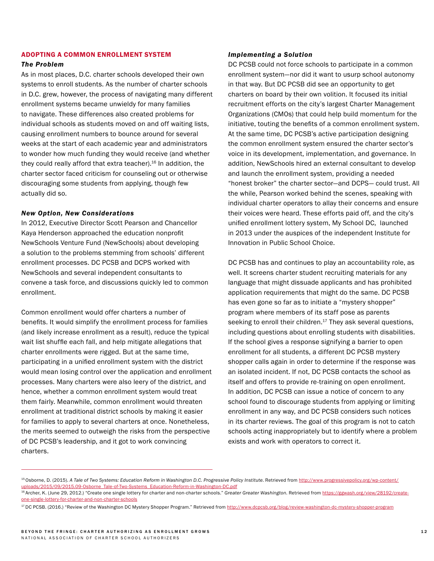#### ADOPTING A COMMON ENROLLMENT SYSTEM

#### *The Problem*

As in most places, D.C. charter schools developed their own systems to enroll students. As the number of charter schools in D.C. grew, however, the process of navigating many different enrollment systems became unwieldy for many families to navigate. These differences also created problems for individual schools as students moved on and off waiting lists, causing enrollment numbers to bounce around for several weeks at the start of each academic year and administrators to wonder how much funding they would receive (and whether they could really afford that extra teacher).<sup>16</sup> In addition, the charter sector faced criticism for counseling out or otherwise discouraging some students from applying, though few actually did so.

#### *New Option, New Considerations*

In 2012, Executive Director Scott Pearson and Chancellor Kaya Henderson approached the education nonprofit NewSchools Venture Fund (NewSchools) about developing a solution to the problems stemming from schools' different enrollment processes. DC PCSB and DCPS worked with NewSchools and several independent consultants to convene a task force, and discussions quickly led to common enrollment.

Common enrollment would offer charters a number of benefits. It would simplify the enrollment process for families (and likely increase enrollment as a result), reduce the typical wait list shuffle each fall, and help mitigate allegations that charter enrollments were rigged. But at the same time, participating in a unified enrollment system with the district would mean losing control over the application and enrollment processes. Many charters were also leery of the district, and hence, whether a common enrollment system would treat them fairly. Meanwhile, common enrollment would threaten enrollment at traditional district schools by making it easier for families to apply to several charters at once. Nonetheless, the merits seemed to outweigh the risks from the perspective of DC PCSB's leadership, and it got to work convincing charters.

#### *Implementing a Solution*

DC PCSB could not force schools to participate in a common enrollment system—nor did it want to usurp school autonomy in that way. But DC PCSB did see an opportunity to get charters on board by their own volition. It focused its initial recruitment efforts on the city's largest Charter Management Organizations (CMOs) that could help build momentum for the initiative, touting the benefits of a common enrollment system. At the same time, DC PCSB's active participation designing the common enrollment system ensured the charter sector's voice in its development, implementation, and governance. In addition, NewSchools hired an external consultant to develop and launch the enrollment system, providing a needed "honest broker" the charter sector—and DCPS— could trust. All the while, Pearson worked behind the scenes, speaking with individual charter operators to allay their concerns and ensure their voices were heard. These efforts paid off, and the city's unified enrollment lottery system, My School DC, launched in 2013 under the auspices of the independent Institute for Innovation in Public School Choice.

DC PCSB has and continues to play an accountability role, as well. It screens charter student recruiting materials for any language that might dissuade applicants and has prohibited application requirements that might do the same. DC PCSB has even gone so far as to initiate a "mystery shopper" program where members of its staff pose as parents seeking to enroll their children. $17$  They ask several questions, including questions about enrolling students with disabilities. If the school gives a response signifying a barrier to open enrollment for all students, a different DC PCSB mystery shopper calls again in order to determine if the response was an isolated incident. If not, DC PCSB contacts the school as itself and offers to provide re-training on open enrollment. In addition, DC PCSB can issue a notice of concern to any school found to discourage students from applying or limiting enrollment in any way, and DC PCSB considers such notices in its charter reviews. The goal of this program is not to catch schools acting inappropriately but to identify where a problem exists and work with operators to correct it.

<sup>15</sup> Osborne, D. (2015). A Tale of Two Systems: Education Reform in Washington D.C. Progressive Policy Institute. Retrieved from [http://www.progressivepolicy.org/wp-content/](http://www.progressivepolicy.org/wp-content/uploads/2015/09/2015.09-Osborne_Tale-of-Two-Systems_Educ) uploads/2015/09/2015.09-Osborne\_Tale-of-Two-Systems\_Education-Reform-in-Washington-DC.pdf<br><sup>16</sup> Archer, K. (June 29, 2012.) "Create one single lottery for charter and non-charter schools." Greater Greater Washington. Retrie

[one-single-lottery-for-charter-and-non-charter-schools](https://ggwash.org/view/28192/create-one-single-lottery-for-charter-and-non-charter-schools)

<sup>&</sup>lt;sup>17</sup> DC PCSB. (2016.) "Review of the Washington DC Mystery Shopper Program." Retrieved from<http://www.dcpcsb.org/blog/review-washington-dc-mystery-shopper-program>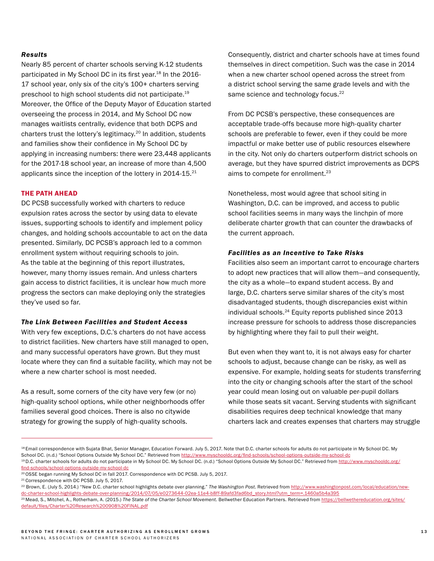#### *Results*

Nearly 85 percent of charter schools serving K-12 students participated in My School DC in its first year.<sup>18</sup> In the 2016-17 school year, only six of the city's 100+ charters serving preschool to high school students did not participate.19 Moreover, the Office of the Deputy Mayor of Education started overseeing the process in 2014, and My School DC now manages waitlists centrally, evidence that both DCPS and charters trust the lottery's legitimacy.20 In addition, students and families show their confidence in My School DC by applying in increasing numbers: there were 23,448 applicants for the 2017-18 school year, an increase of more than 4,500 applicants since the inception of the lottery in 2014-15.<sup>21</sup>

#### THE PATH AHEAD

DC PCSB successfully worked with charters to reduce expulsion rates across the sector by using data to elevate issues, supporting schools to identify and implement policy changes, and holding schools accountable to act on the data presented. Similarly, DC PCSB's approach led to a common enrollment system without requiring schools to join. As the table at the beginning of this report illustrates, however, many thorny issues remain. And unless charters gain access to district facilities, it is unclear how much more progress the sectors can make deploying only the strategies they've used so far.

#### *The Link Between Facilities and Student Access*

With very few exceptions, D.C.'s charters do not have access to district facilities. New charters have still managed to open, and many successful operators have grown. But they must locate where they can find a suitable facility, which may not be where a new charter school is most needed.

As a result, some corners of the city have very few (or no) high-quality school options, while other neighborhoods offer families several good choices. There is also no citywide strategy for growing the supply of high-quality schools.

Consequently, district and charter schools have at times found themselves in direct competition. Such was the case in 2014 when a new charter school opened across the street from a district school serving the same grade levels and with the same science and technology focus.<sup>22</sup>

From DC PCSB's perspective, these consequences are acceptable trade-offs because more high-quality charter schools are preferable to fewer, even if they could be more impactful or make better use of public resources elsewhere in the city. Not only do charters outperform district schools on average, but they have spurred district improvements as DCPS aims to compete for enrollment.<sup>23</sup>

Nonetheless, most would agree that school siting in Washington, D.C. can be improved, and access to public school facilities seems in many ways the linchpin of more deliberate charter growth that can counter the drawbacks of the current approach.

#### *Facilities as an Incentive to Take Risks*

Facilities also seem an important carrot to encourage charters to adopt new practices that will allow them—and consequently, the city as a whole—to expand student access. By and large, D.C. charters serve similar shares of the city's most disadvantaged students, though discrepancies exist within individual schools.<sup>24</sup> Equity reports published since 2013 increase pressure for schools to address those discrepancies by highlighting where they fail to pull their weight.

But even when they want to, it is not always easy for charter schools to adjust, because change can be risky, as well as expensive. For example, holding seats for students transferring into the city or changing schools after the start of the school year could mean losing out on valuable per-pupil dollars while those seats sit vacant. Serving students with significant disabilities requires deep technical knowledge that many charters lack and creates expenses that charters may struggle

<sup>&</sup>lt;sup>18</sup> Email correspondence with Sujata Bhat, Senior Manager, Education Forward. July 5, 2017. Note that D.C. charter schools for adults do not participate in My School DC. My School DC. (n.d.) "School Options Outside My School DC." Retrieved from <http://www.myschooldc.org/find-schools/school-options-outside-my-school-dc> 19 D.C. charter schools for adults do not participate in My School DC. My School DC. (n.d.) "School Options Outside My School DC." Retrieved from [http://www.myschooldc.org/](http://www.myschooldc.org/find-schools/school-options-outside-my-school-dc)

[find-schools/school-options-outside-my-school-dc](http://www.myschooldc.org/find-schools/school-options-outside-my-school-dc)

<sup>20</sup> OSSE began running My School DC in fall 2017. Correspondence with DC PCSB. July 5, 2017.

<sup>&</sup>lt;sup>21</sup> Correspondence with DC PCSB. July 5, 2017.

<sup>22</sup> Brown, E. (July 5, 2014.) "New D.C. charter school highlights debate over planning." *The Washington Post*. Retrieved from [http://www.washingtonpost.com/local/education/new](http://www.washingtonpost.com/local/education/new-dc-charter-school-highlights-debate-over-planning/)[dc-charter-school-highlights-debate-over-planning/2014/07/05/e0273644-02ea-11e4-b8ff-89afd3fad6bd\\_story.html?utm\\_term=.1460a5b4a395](http://www.washingtonpost.com/local/education/new-dc-charter-school-highlights-debate-over-planning/)

<sup>23</sup> Mead, S., Mitchel, A., Rotherham, A. (2015.) *The State of the Charter School Movement.* Bellwether Education Partners. Retrieved from [https://bellwethereducation.org/sites/](https://bellwethereducation.org/sites/default/files/Charter%20Research%200908%20FINAL.pdf) [default/files/Charter%20Research%200908%20FINAL.pdf](https://bellwethereducation.org/sites/default/files/Charter%20Research%200908%20FINAL.pdf)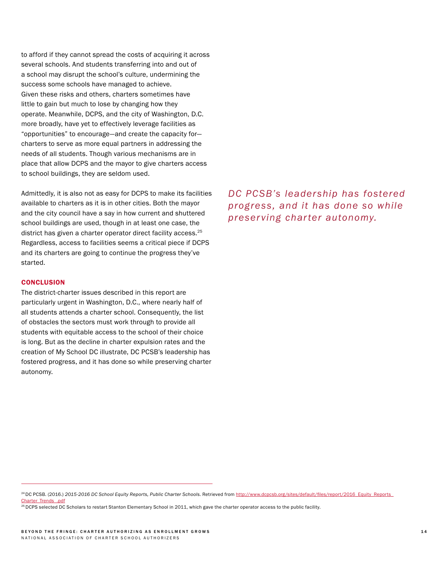to afford if they cannot spread the costs of acquiring it across several schools. And students transferring into and out of a school may disrupt the school's culture, undermining the success some schools have managed to achieve. Given these risks and others, charters sometimes have little to gain but much to lose by changing how they operate. Meanwhile, DCPS, and the city of Washington, D.C. more broadly, have yet to effectively leverage facilities as "opportunities" to encourage—and create the capacity for charters to serve as more equal partners in addressing the needs of all students. Though various mechanisms are in place that allow DCPS and the mayor to give charters access to school buildings, they are seldom used.

Admittedly, it is also not as easy for DCPS to make its facilities available to charters as it is in other cities. Both the mayor and the city council have a say in how current and shuttered school buildings are used, though in at least one case, the district has given a charter operator direct facility access.<sup>25</sup> Regardless, access to facilities seems a critical piece if DCPS and its charters are going to continue the progress they've started.

#### **CONCLUSION**

The district-charter issues described in this report are particularly urgent in Washington, D.C., where nearly half of all students attends a charter school. Consequently, the list of obstacles the sectors must work through to provide all students with equitable access to the school of their choice is long. But as the decline in charter expulsion rates and the creation of My School DC illustrate, DC PCSB's leadership has fostered progress, and it has done so while preserving charter autonomy.

*DC PCSB's leadership has fostered progress, and it has done so while preserving charter autonomy.*

<sup>24</sup> DC PCSB. (2016.) *2015-2016 DC School Equity Reports, Public Charter Schools*. Retrieved from [http://www.dcpcsb.org/sites/default/files/report/2016\\_Equity\\_Reports\\_](http://www.dcpcsb.org/sites/default/files/report/2016_Equity_Reports_Charter_Trends_.pdf) [Charter\\_Trends\\_.pdf](http://www.dcpcsb.org/sites/default/files/report/2016_Equity_Reports_Charter_Trends_.pdf)

<sup>&</sup>lt;sup>25</sup> DCPS selected DC Scholars to restart Stanton Elementary School in 2011, which gave the charter operator access to the public facility.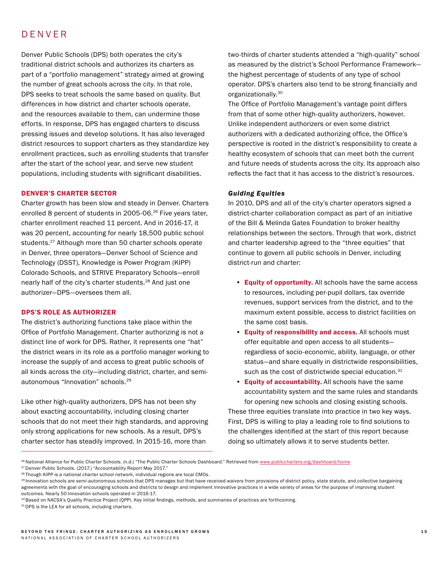# DENVER

Denver Public Schools (DPS) both operates the city's traditional district schools and authorizes its charters as part of a "portfolio management" strategy aimed at growing the number of great schools across the city. In that role, DPS seeks to treat schools the same based on quality. But differences in how district and charter schools operate, and the resources available to them, can undermine those efforts. In response, DPS has engaged charters to discuss pressing issues and develop solutions. It has also leveraged district resources to support charters as they standardize key enrollment practices, such as enrolling students that transfer after the start of the school year, and serve new student populations, including students with significant disabilities.

#### DENVER'S CHARTER SECTOR

Charter growth has been slow and steady in Denver. Charters enrolled 8 percent of students in 2005-06.<sup>26</sup> Five years later, charter enrollment reached 11 percent. And in 2016-17, it was 20 percent, accounting for nearly 18,500 public school students.27 Although more than 50 charter schools operate in Denver, three operators—Denver School of Science and Technology (DSST), Knowledge is Power Program (KIPP) Colorado Schools, and STRIVE Preparatory Schools—enroll nearly half of the city's charter students.<sup>28</sup> And just one authorizer—DPS—oversees them all.

#### DPS'S ROLE AS AUTHORIZER

The district's authorizing functions take place within the Office of Portfolio Management. Charter authorizing is not a distinct line of work for DPS. Rather, it represents one "hat" the district wears in its role as a portfolio manager working to increase the supply of and access to great public schools of all kinds across the city—including district, charter, and semiautonomous "Innovation" schools.29

Like other high-quality authorizers, DPS has not been shy about exacting accountability, including closing charter schools that do not meet their high standards, and approving only strong applications for new schools. As a result, DPS's charter sector has steadily improved. In 2015-16, more than

two-thirds of charter students attended a "high-quality" school as measured by the district's School Performance Framework the highest percentage of students of any type of school operator. DPS's charters also tend to be strong financially and organizationally.30

The Office of Portfolio Management's vantage point differs from that of some other high-quality authorizers, however. Unlike independent authorizers or even some district authorizers with a dedicated authorizing office, the Office's perspective is rooted in the district's responsibility to create a healthy ecosystem of schools that can meet both the current and future needs of students across the city. Its approach also reflects the fact that it has access to the district's resources.

#### *Guiding Equities*

In 2010, DPS and all of the city's charter operators signed a district-charter collaboration compact as part of an initiative of the Bill & Melinda Gates Foundation to broker healthy relationships between the sectors. Through that work, district and charter leadership agreed to the "three equities" that continue to govern all public schools in Denver, including district-run and charter:

- Equity of opportunity. All schools have the same access to resources, including per-pupil dollars, tax override revenues, support services from the district, and to the maximum extent possible, access to district facilities on the same cost basis.
- Equity of responsibility and access. All schools must offer equitable and open access to all students regardless of socio-economic, ability, language, or other status—and share equally in districtwide responsibilities, such as the cost of districtwide special education.<sup>31</sup>
- Equity of accountability. All schools have the same accountability system and the same rules and standards for opening new schools and closing existing schools. These three equities translate into practice in two key ways. First, DPS is willing to play a leading role to find solutions to the challenges identified at the start of this report because doing so ultimately allows it to serve students better.

<sup>&</sup>lt;sup>26</sup> National Alliance for Public Charter Schools. (n.d.) "The Public Charter Schools Dashboard." Retrieved from [www.publiccharters.org/dashboard/home](http://www.publiccharters.org/dashboard/home)

<sup>&</sup>lt;sup>27</sup> Denver Public Schools. (2017.) "Accountability Report May 2017."

<sup>&</sup>lt;sup>28</sup> Though KIPP is a national charter school network, individual regions are local CMOs.

<sup>&</sup>lt;sup>29</sup> Innovation schools are semi-autonomous schools that DPS manages but that have received waivers from provisions of district policy, state statute, and collective bargaining agreements with the goal of encouraging schools and districts to design and implement innovative practices in a wide variety of areas for the purpose of improving student outcomes. Nearly 50 Innovation schools operated in 2016-17.

<sup>&</sup>lt;sup>30</sup> Based on NACSA's Quality Practice Project (QPP). Key initial findings, methods, and summaries of practices are forthcoming.

<sup>&</sup>lt;sup>31</sup> DPS is the LEA for all schools, including charters.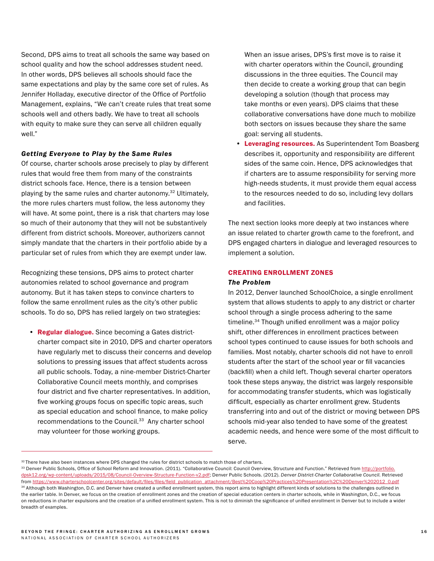Second, DPS aims to treat all schools the same way based on school quality and how the school addresses student need. In other words, DPS believes all schools should face the same expectations and play by the same core set of rules. As Jennifer Holladay, executive director of the Office of Portfolio Management, explains, "We can't create rules that treat some schools well and others badly. We have to treat all schools with equity to make sure they can serve all children equally well."

#### *Getting Everyone to Play by the Same Rules*

Of course, charter schools arose precisely to play by different rules that would free them from many of the constraints district schools face. Hence, there is a tension between playing by the same rules and charter autonomy.<sup>32</sup> Ultimately, the more rules charters must follow, the less autonomy they will have. At some point, there is a risk that charters may lose so much of their autonomy that they will not be substantively different from district schools. Moreover, authorizers cannot simply mandate that the charters in their portfolio abide by a particular set of rules from which they are exempt under law.

Recognizing these tensions, DPS aims to protect charter autonomies related to school governance and program autonomy. But it has taken steps to convince charters to follow the same enrollment rules as the city's other public schools. To do so, DPS has relied largely on two strategies:

• Regular dialogue. Since becoming a Gates districtcharter compact site in 2010, DPS and charter operators have regularly met to discuss their concerns and develop solutions to pressing issues that affect students across all public schools. Today, a nine-member District-Charter Collaborative Council meets monthly, and comprises four district and five charter representatives. In addition, five working groups focus on specific topic areas, such as special education and school finance, to make policy recommendations to the Council.<sup>33</sup> Any charter school may volunteer for those working groups.

When an issue arises, DPS's first move is to raise it with charter operators within the Council, grounding discussions in the three equities. The Council may then decide to create a working group that can begin developing a solution (though that process may take months or even years). DPS claims that these collaborative conversations have done much to mobilize both sectors on issues because they share the same goal: serving all students.

• Leveraging resources. As Superintendent Tom Boasberg describes it, opportunity and responsibility are different sides of the same coin. Hence, DPS acknowledges that if charters are to assume responsibility for serving more high-needs students, it must provide them equal access to the resources needed to do so, including levy dollars and facilities.

The next section looks more deeply at two instances where an issue related to charter growth came to the forefront, and DPS engaged charters in dialogue and leveraged resources to implement a solution.

#### CREATING ENROLLMENT ZONES *The Problem*

In 2012, Denver launched SchoolChoice, a single enrollment system that allows students to apply to any district or charter school through a single process adhering to the same timeline.<sup>34</sup> Though unified enrollment was a major policy shift, other differences in enrollment practices between school types continued to cause issues for both schools and families. Most notably, charter schools did not have to enroll students after the start of the school year or fill vacancies (backfill) when a child left. Though several charter operators took these steps anyway, the district was largely responsible for accommodating transfer students, which was logistically difficult, especially as charter enrollment grew. Students transferring into and out of the district or moving between DPS schools mid-year also tended to have some of the greatest academic needs, and hence were some of the most difficult to serve.

<sup>32</sup> There have also been instances where DPS changed the rules for district schools to match those of charters.

<sup>33</sup> Denver Public Schools, Office of School Reform and Innovation. (2011). "Collaborative Council: Council Overview, Structure and Function." Retrieved from [http://portfolio.](http://portfolio.dpsk12.org/wp-content/uploads/2015/08/Council-Overview-Structure-Function-v2.pdf) [dpsk12.org/wp-content/uploads/2015/08/Council-Overview-Structure-Function-v2.pdf;](http://portfolio.dpsk12.org/wp-content/uploads/2015/08/Council-Overview-Structure-Function-v2.pdf) Denver Public Schools. (2012). *Denver District-Charter Collaborative Council*. Retrieved from [https://www.charterschoolcenter.org/sites/default/files/files/field\\_publication\\_attachment/Best%20Coop%20Practices%20Presentation%2C%20Denver%202012\\_0.pdf](https://www.charterschoolcenter.org/sites/default/files/files/field_publication_attachment/Best%20Co) 34 Although both Washington, D.C. and Denver have created a unified enrollment system, this report aims to highlight different kinds of solutions to the challenges outlined in the earlier table. In Denver, we focus on the creation of enrollment zones and the creation of special education centers in charter schools, while in Washington, D.C., we focus on reductions in charter expulsions and the creation of a unified enrollment system. This is not to diminish the significance of unified enrollment in Denver but to include a wider breadth of examples.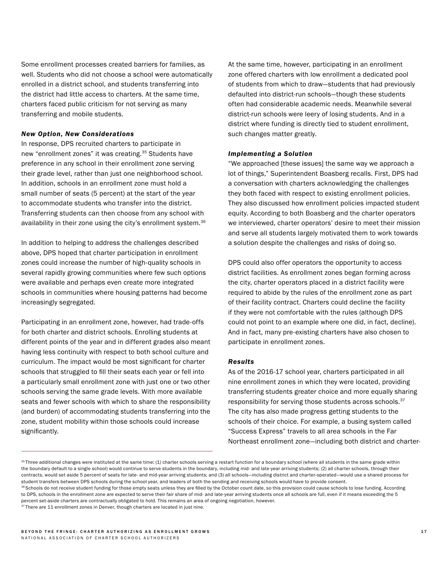Some enrollment processes created barriers for families, as well. Students who did not choose a school were automatically enrolled in a district school, and students transferring into the district had little access to charters. At the same time, charters faced public criticism for not serving as many transferring and mobile students.

#### *New Option, New Considerations*

In response, DPS recruited charters to participate in new "enrollment zones" it was creating.<sup>35</sup> Students have preference in any school in their enrollment zone serving their grade level, rather than just one neighborhood school. In addition, schools in an enrollment zone must hold a small number of seats (5 percent) at the start of the year to accommodate students who transfer into the district. Transferring students can then choose from any school with availability in their zone using the city's enrollment system.<sup>36</sup>

In addition to helping to address the challenges described above, DPS hoped that charter participation in enrollment zones could increase the number of high-quality schools in several rapidly growing communities where few such options were available and perhaps even create more integrated schools in communities where housing patterns had become increasingly segregated.

Participating in an enrollment zone, however, had trade-offs for both charter and district schools. Enrolling students at different points of the year and in different grades also meant having less continuity with respect to both school culture and curriculum. The impact would be most significant for charter schools that struggled to fill their seats each year or fell into a particularly small enrollment zone with just one or two other schools serving the same grade levels. With more available seats and fewer schools with which to share the responsibility (and burden) of accommodating students transferring into the zone, student mobility within those schools could increase significantly.

At the same time, however, participating in an enrollment zone offered charters with low enrollment a dedicated pool of students from which to draw—students that had previously defaulted into district-run schools—though these students often had considerable academic needs. Meanwhile several district-run schools were leery of losing students. And in a district where funding is directly tied to student enrollment, such changes matter greatly.

#### *Implementing a Solution*

"We approached [these issues] the same way we approach a lot of things," Superintendent Boasberg recalls. First, DPS had a conversation with charters acknowledging the challenges they both faced with respect to existing enrollment policies. They also discussed how enrollment policies impacted student equity. According to both Boasberg and the charter operators we interviewed, charter operators' desire to meet their mission and serve all students largely motivated them to work towards a solution despite the challenges and risks of doing so.

DPS could also offer operators the opportunity to access district facilities. As enrollment zones began forming across the city, charter operators placed in a district facility were required to abide by the rules of the enrollment zone as part of their facility contract. Charters could decline the facility if they were not comfortable with the rules (although DPS could not point to an example where one did, in fact, decline). And in fact, many pre-existing charters have also chosen to participate in enrollment zones.

#### *Results*

As of the 2016-17 school year, charters participated in all nine enrollment zones in which they were located, providing transferring students greater choice and more equally sharing responsibility for serving those students across schools.<sup>37</sup> The city has also made progress getting students to the schools of their choice. For example, a busing system called "Success Express" travels to all area schools in the Far Northeast enrollment zone—including both district and charter-

<sup>&</sup>lt;sup>35</sup> Three additional changes were instituted at the same time: (1) charter schools serving a restart function for a boundary school (where all students in the same grade within the boundary default to a single school) would continue to serve students in the boundary, including mid- and late-year arriving students; (2) all charter schools, through their contracts, would set aside 5 percent of seats for late- and mid-year arriving students; and (3) all schools-including district and charter-operated-would use a shared process for student transfers between DPS schools during the school year, and leaders of both the sending and receiving schools would have to provide consent.

<sup>36</sup> Schools do not receive student funding for those empty seats unless they are filled by the October count date, so this provision could cause schools to lose funding. According to DPS, schools in the enrollment zone are expected to serve their fair share of mid- and late-year arriving students once all schools are full, even if it means exceeding the 5 percent set-aside charters are contractually obligated to hold. This remains an area of ongoing negotiation, however.

<sup>37</sup> There are 11 enrollment zones in Denver, though charters are located in just nine.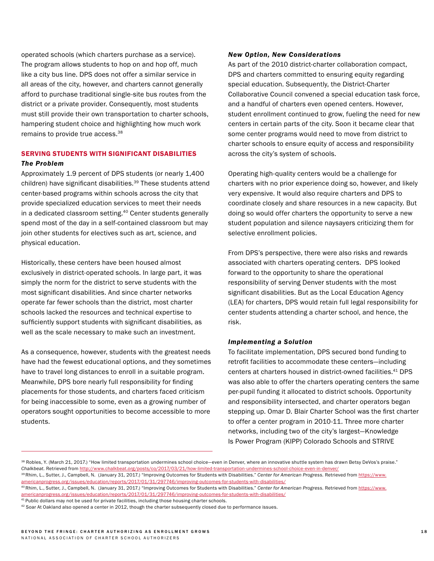operated schools (which charters purchase as a service). The program allows students to hop on and hop off, much like a city bus line. DPS does not offer a similar service in all areas of the city, however, and charters cannot generally afford to purchase traditional single-site bus routes from the district or a private provider. Consequently, most students must still provide their own transportation to charter schools, hampering student choice and highlighting how much work remains to provide true access.<sup>38</sup>

# SERVING STUDENTS WITH SIGNIFICANT DISABILITIES

#### *The Problem*

Approximately 1.9 percent of DPS students (or nearly 1,400 children) have significant disabilities.<sup>39</sup> These students attend center-based programs within schools across the city that provide specialized education services to meet their needs in a dedicated classroom setting.40 Center students generally spend most of the day in a self-contained classroom but may join other students for electives such as art, science, and physical education.

Historically, these centers have been housed almost exclusively in district-operated schools. In large part, it was simply the norm for the district to serve students with the most significant disabilities. And since charter networks operate far fewer schools than the district, most charter schools lacked the resources and technical expertise to sufficiently support students with significant disabilities, as well as the scale necessary to make such an investment.

As a consequence, however, students with the greatest needs have had the fewest educational options, and they sometimes have to travel long distances to enroll in a suitable program. Meanwhile, DPS bore nearly full responsibility for finding placements for those students, and charters faced criticism for being inaccessible to some, even as a growing number of operators sought opportunities to become accessible to more students.

#### *New Option, New Considerations*

As part of the 2010 district-charter collaboration compact, DPS and charters committed to ensuring equity regarding special education. Subsequently, the District-Charter Collaborative Council convened a special education task force, and a handful of charters even opened centers. However, student enrollment continued to grow, fueling the need for new centers in certain parts of the city. Soon it became clear that some center programs would need to move from district to charter schools to ensure equity of access and responsibility across the city's system of schools.

Operating high-quality centers would be a challenge for charters with no prior experience doing so, however, and likely very expensive. It would also require charters and DPS to coordinate closely and share resources in a new capacity. But doing so would offer charters the opportunity to serve a new student population and silence naysayers criticizing them for selective enrollment policies.

From DPS's perspective, there were also risks and rewards associated with charters operating centers. DPS looked forward to the opportunity to share the operational responsibility of serving Denver students with the most significant disabilities. But as the Local Education Agency (LEA) for charters, DPS would retain full legal responsibility for center students attending a charter school, and hence, the risk.

#### *Implementing a Solution*

To facilitate implementation, DPS secured bond funding to retrofit facilities to accommodate these centers—including centers at charters housed in district-owned facilities.<sup>41</sup> DPS was also able to offer the charters operating centers the same per-pupil funding it allocated to district schools. Opportunity and responsibility intersected, and charter operators began stepping up. Omar D. Blair Charter School was the first charter to offer a center program in 2010-11. Three more charter networks, including two of the city's largest—Knowledge Is Power Program (KIPP) Colorado Schools and STRIVE

<sup>38</sup> Robles, Y. (March 21, 2017.) "How limited transportation undermines school choice-even in Denver, where an innovative shuttle system has drawn Betsy DeVos's praise." *Chalkbeat.* Retrieved from [http://www.chalkbeat.org/posts/co/2017/03/21/how-limited-transportation-undermines-school-choice-even-in-denver/](http://www.chalkbeat.org/posts/co/2017/03/21/how-limited-transportation-undermines-school-choice-eve)

<sup>39</sup> Rhim, L., Sutter, J., Campbell, N. (January 31, 2017.) "Improving Outcomes for Students with Disabilities." *Center for American Progress.* Retrieved from [https://www.](https://www.americanprogress.org/issues/education/reports/2017/01/31/297746/improving-outcomes-for-s) [americanprogress.org/issues/education/reports/2017/01/31/297746/improving-outcomes-for-students-with-disabilities/](https://www.americanprogress.org/issues/education/reports/2017/01/31/297746/improving-outcomes-for-s)

<sup>40</sup> Rhim, L., Sutter, J., Campbell, N. (January 31, 2017.) "Improving Outcomes for Students with Disabilities." *Center for American Progress.* Retrieved from [https://www.](https://www.americanprogress.org/issues/education/reports/2017/01/31/297746/improving-outcomes-for-s) [americanprogress.org/issues/education/reports/2017/01/31/297746/improving-outcomes-for-students-with-disabilities/](https://www.americanprogress.org/issues/education/reports/2017/01/31/297746/improving-outcomes-for-s)

 $41$  Public dollars may not be used for private facilities, including those housing charter schools.

 $42$  Soar At Oakland also opened a center in 2012, though the charter subsequently closed due to performance issues.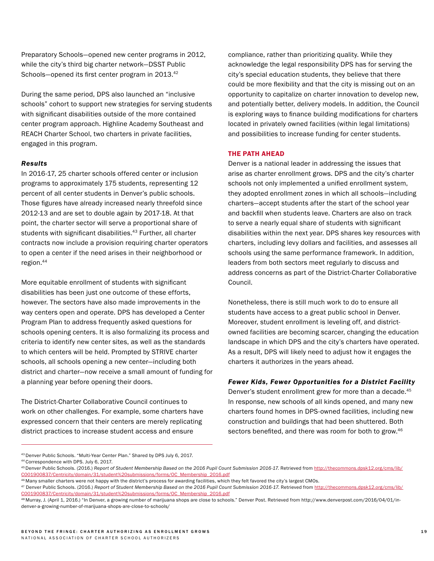Preparatory Schools—opened new center programs in 2012, while the city's third big charter network—DSST Public Schools-opened its first center program in 2013.<sup>42</sup>

During the same period, DPS also launched an "inclusive schools" cohort to support new strategies for serving students with significant disabilities outside of the more contained center program approach. Highline Academy Southeast and REACH Charter School, two charters in private facilities, engaged in this program.

#### *Results*

In 2016-17, 25 charter schools offered center or inclusion programs to approximately 175 students, representing 12 percent of all center students in Denver's public schools. Those figures have already increased nearly threefold since 2012-13 and are set to double again by 2017-18. At that point, the charter sector will serve a proportional share of students with significant disabilities.<sup>43</sup> Further, all charter contracts now include a provision requiring charter operators to open a center if the need arises in their neighborhood or region.44

More equitable enrollment of students with significant disabilities has been just one outcome of these efforts, however. The sectors have also made improvements in the way centers open and operate. DPS has developed a Center Program Plan to address frequently asked questions for schools opening centers. It is also formalizing its process and criteria to identify new center sites, as well as the standards to which centers will be held. Prompted by STRIVE charter schools, all schools opening a new center—including both district and charter—now receive a small amount of funding for a planning year before opening their doors.

The District-Charter Collaborative Council continues to work on other challenges. For example, some charters have expressed concern that their centers are merely replicating district practices to increase student access and ensure

compliance, rather than prioritizing quality. While they acknowledge the legal responsibility DPS has for serving the city's special education students, they believe that there could be more flexibility and that the city is missing out on an opportunity to capitalize on charter innovation to develop new, and potentially better, delivery models. In addition, the Council is exploring ways to finance building modifications for charters located in privately owned facilities (within legal limitations) and possibilities to increase funding for center students.

#### THE PATH AHEAD

Denver is a national leader in addressing the issues that arise as charter enrollment grows. DPS and the city's charter schools not only implemented a unified enrollment system, they adopted enrollment zones in which all schools—including charters—accept students after the start of the school year and backfill when students leave. Charters are also on track to serve a nearly equal share of students with significant disabilities within the next year. DPS shares key resources with charters, including levy dollars and facilities, and assesses all schools using the same performance framework. In addition, leaders from both sectors meet regularly to discuss and address concerns as part of the District-Charter Collaborative Council.

Nonetheless, there is still much work to do to ensure all students have access to a great public school in Denver. Moreover, student enrollment is leveling off, and districtowned facilities are becoming scarcer, changing the education landscape in which DPS and the city's charters have operated. As a result, DPS will likely need to adjust how it engages the charters it authorizes in the years ahead.

#### *Fewer Kids, Fewer Opportunities for a District Facility*

Denver's student enrollment grew for more than a decade.<sup>45</sup> In response, new schools of all kinds opened, and many new charters found homes in DPS-owned facilities, including new construction and buildings that had been shuttered. Both sectors benefited, and there was room for both to grow.<sup>46</sup>

<sup>43</sup> Denver Public Schools. "Multi-Year Center Plan." Shared by DPS July 6, 2017.

<sup>44</sup> Correspondence with DPS. July 6, 2017.

<sup>45</sup> Denver Public Schools. (2016.) *Report of Student Membership Based on the 2016 Pupil Count Submission 2016-17.* Retrieved from [http://thecommons.dpsk12.org/cms/lib/](http://thecommons.dpsk12.org/cms/lib/CO01900837/Centricity/domain/31/student%20submissions/forms/OC_) [CO01900837/Centricity/domain/31/student%20submissions/forms/OC\\_Membership\\_2016.pdf](http://thecommons.dpsk12.org/cms/lib/CO01900837/Centricity/domain/31/student%20submissions/forms/OC_)

<sup>46</sup> Many smaller charters were not happy with the district's process for awarding facilities, which they felt favored the city's largest CMOs.

<sup>47</sup> Denver Public Schools. (2016.) *Report of Student Membership Based on the 2016 Pupil Count Submission 2016-17.* Retrieved from [http://thecommons.dpsk12.org/cms/lib/](http://thecommons.dpsk12.org/cms/lib/CO01900837/Centricity/domain/31/student%20submissions/forms/OC_) [CO01900837/Centricity/domain/31/student%20submissions/forms/OC\\_Membership\\_2016.pdf](http://thecommons.dpsk12.org/cms/lib/CO01900837/Centricity/domain/31/student%20submissions/forms/OC_)

<sup>48</sup> Murray, J. (April 1, 2016.) "In Denver, a growing number of marijuana shops are close to schools." Denver Post. Retrieved from http://www.denverpost.com/2016/04/01/indenver-a-growing-number-of-marijuana-shops-are-close-to-schools/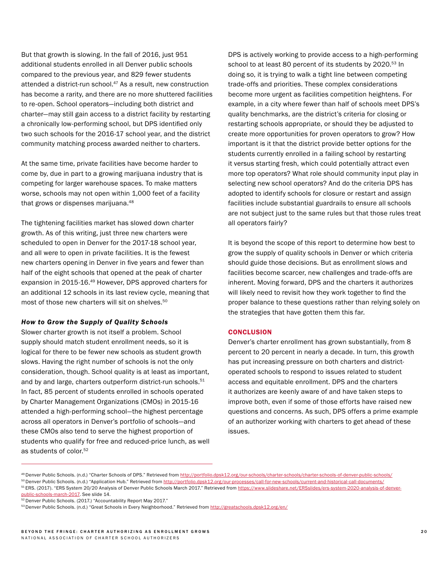But that growth is slowing. In the fall of 2016, just 951 additional students enrolled in all Denver public schools compared to the previous year, and 829 fewer students attended a district-run school.<sup>47</sup> As a result, new construction has become a rarity, and there are no more shuttered facilities to re-open. School operators—including both district and charter—may still gain access to a district facility by restarting a chronically low-performing school, but DPS identified only two such schools for the 2016-17 school year, and the district community matching process awarded neither to charters.

At the same time, private facilities have become harder to come by, due in part to a growing marijuana industry that is competing for larger warehouse spaces. To make matters worse, schools may not open within 1,000 feet of a facility that grows or dispenses marijuana.48

The tightening facilities market has slowed down charter growth. As of this writing, just three new charters were scheduled to open in Denver for the 2017-18 school year, and all were to open in private facilities. It is the fewest new charters opening in Denver in five years and fewer than half of the eight schools that opened at the peak of charter expansion in 2015-16.<sup>49</sup> However, DPS approved charters for an additional 12 schools in its last review cycle, meaning that most of those new charters will sit on shelves.<sup>50</sup>

#### *How to Grow the Supply of Quality Schools*

Slower charter growth is not itself a problem. School supply should match student enrollment needs, so it is logical for there to be fewer new schools as student growth slows. Having the right number of schools is not the only consideration, though. School quality is at least as important, and by and large, charters outperform district-run schools.<sup>51</sup> In fact, 85 percent of students enrolled in schools operated by Charter Management Organizations (CMOs) in 2015-16 attended a high-performing school—the highest percentage across all operators in Denver's portfolio of schools—and these CMOs also tend to serve the highest proportion of students who qualify for free and reduced-price lunch, as well as students of color.<sup>52</sup>

DPS is actively working to provide access to a high-performing school to at least 80 percent of its students by 2020.<sup>53</sup> In doing so, it is trying to walk a tight line between competing trade-offs and priorities. These complex considerations become more urgent as facilities competition heightens. For example, in a city where fewer than half of schools meet DPS's quality benchmarks, are the district's criteria for closing or restarting schools appropriate, or should they be adjusted to create more opportunities for proven operators to grow? How important is it that the district provide better options for the students currently enrolled in a failing school by restarting it versus starting fresh, which could potentially attract even more top operators? What role should community input play in selecting new school operators? And do the criteria DPS has adopted to identify schools for closure or restart and assign facilities include substantial guardrails to ensure all schools are not subject just to the same rules but that those rules treat all operators fairly?

It is beyond the scope of this report to determine how best to grow the supply of quality schools in Denver or which criteria should guide those decisions. But as enrollment slows and facilities become scarcer, new challenges and trade-offs are inherent. Moving forward, DPS and the charters it authorizes will likely need to revisit how they work together to find the proper balance to these questions rather than relying solely on the strategies that have gotten them this far.

#### **CONCLUSION**

Denver's charter enrollment has grown substantially, from 8 percent to 20 percent in nearly a decade. In turn, this growth has put increasing pressure on both charters and districtoperated schools to respond to issues related to student access and equitable enrollment. DPS and the charters it authorizes are keenly aware of and have taken steps to improve both, even if some of those efforts have raised new questions and concerns. As such, DPS offers a prime example of an authorizer working with charters to get ahead of these issues.

<sup>49</sup> Denver Public Schools. (n.d.) "Charter Schools of DPS." Retrieved from<http://portfolio.dpsk12.org/our-schools/charter-schools/charter-schools-of-denver-public-schools/>

<sup>50</sup> Denver Public Schools. (n.d.) "Application Hub." Retrieved from [http://portfolio.dpsk12.org/our-processes/call-for-new-schools/current-and-historical-call-documents/](http://portfolio.dpsk12.org/our-processes/call-for-new-schools/current-and-historical-call-documents)

<sup>&</sup>lt;sup>51</sup> ERS. (2017). "ERS System 20/20 Analysis of Denver Public Schools March 2017." Retrieved from [https://www.slideshare.net/ERSslides/ers-system-2020-analysis-of-denver-](https://www.slideshare.net/ERSslides/ers-system-2020-analysis-of-denver-public-schools-march-2017)

[public-schools-march-2017](https://www.slideshare.net/ERSslides/ers-system-2020-analysis-of-denver-public-schools-march-2017). See slide 14.

<sup>&</sup>lt;sup>52</sup> Denver Public Schools. (2017.) "Accountability Report May 2017."

<sup>53</sup> Denver Public Schools. (n.d.) "Great Schools in Every Neighborhood." Retrieved from <http://greatschools.dpsk12.org/en/>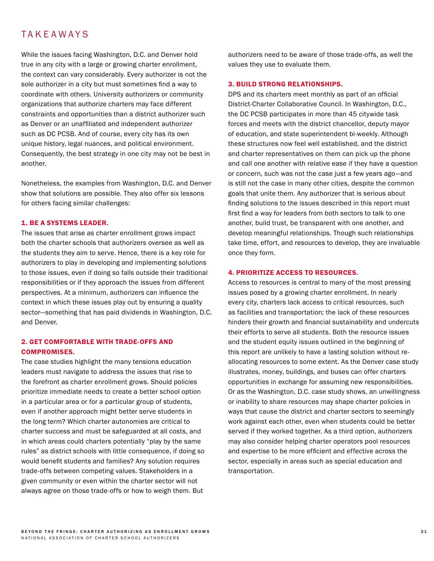# TAKEAWAYS

While the issues facing Washington, D.C. and Denver hold true in any city with a large or growing charter enrollment, the context can vary considerably. Every authorizer is not the sole authorizer in a city but must sometimes find a way to coordinate with others. University authorizers or community organizations that authorize charters may face different constraints and opportunities than a district authorizer such as Denver or an unaffiliated and independent authorizer such as DC PCSB. And of course, every city has its own unique history, legal nuances, and political environment. Consequently, the best strategy in one city may not be best in another.

Nonetheless, the examples from Washington, D.C. and Denver show that solutions are possible. They also offer six lessons for others facing similar challenges:

#### 1. BE A SYSTEMS LEADER.

The issues that arise as charter enrollment grows impact both the charter schools that authorizers oversee as well as the students they aim to serve. Hence, there is a key role for authorizers to play in developing and implementing solutions to those issues, even if doing so falls outside their traditional responsibilities or if they approach the issues from different perspectives. At a minimum, authorizers can influence the context in which these issues play out by ensuring a quality sector—something that has paid dividends in Washington, D.C. and Denver.

#### 2. GET COMFORTABLE WITH TRADE-OFFS AND COMPROMISES.

The case studies highlight the many tensions education leaders must navigate to address the issues that rise to the forefront as charter enrollment grows. Should policies prioritize immediate needs to create a better school option in a particular area or for a particular group of students, even if another approach might better serve students in the long term? Which charter autonomies are critical to charter success and must be safeguarded at all costs, and in which areas could charters potentially "play by the same rules" as district schools with little consequence, if doing so would benefit students and families? Any solution requires trade-offs between competing values. Stakeholders in a given community or even within the charter sector will not always agree on those trade-offs or how to weigh them. But

authorizers need to be aware of those trade-offs, as well the values they use to evaluate them.

#### 3. BUILD STRONG RELATIONSHIPS.

DPS and its charters meet monthly as part of an official District-Charter Collaborative Council. In Washington, D.C., the DC PCSB participates in more than 45 citywide task forces and meets with the district chancellor, deputy mayor of education, and state superintendent bi-weekly. Although these structures now feel well established, and the district and charter representatives on them can pick up the phone and call one another with relative ease if they have a question or concern, such was not the case just a few years ago—and is still not the case in many other cities, despite the common goals that unite them. Any authorizer that is serious about finding solutions to the issues described in this report must first find a way for leaders from both sectors to talk to one another, build trust, be transparent with one another, and develop meaningful relationships. Though such relationships take time, effort, and resources to develop, they are invaluable once they form.

#### 4. PRIORITIZE ACCESS TO RESOURCES.

Access to resources is central to many of the most pressing issues posed by a growing charter enrollment. In nearly every city, charters lack access to critical resources, such as facilities and transportation; the lack of these resources hinders their growth and financial sustainability and undercuts their efforts to serve all students. Both the resource issues and the student equity issues outlined in the beginning of this report are unlikely to have a lasting solution without reallocating resources to some extent. As the Denver case study illustrates, money, buildings, and buses can offer charters opportunities in exchange for assuming new responsibilities. Or as the Washington, D.C. case study shows, an unwillingness or inability to share resources may shape charter policies in ways that cause the district and charter sectors to seemingly work against each other, even when students could be better served if they worked together. As a third option, authorizers may also consider helping charter operators pool resources and expertise to be more efficient and effective across the sector, especially in areas such as special education and transportation.